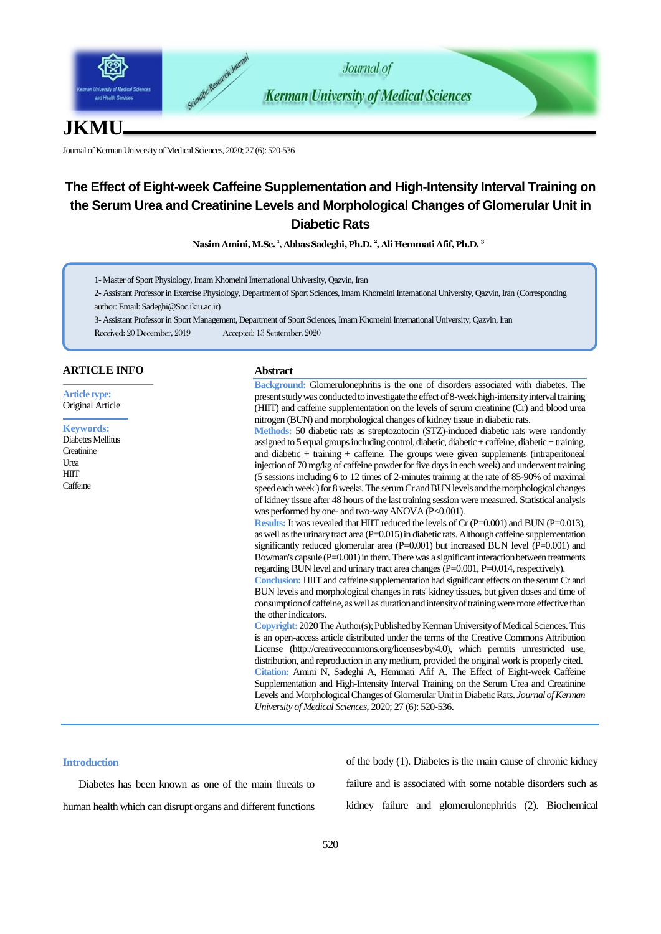

# **JKMU**

Journal of Kerman University of Medical Sciences, 2020; 27 (6): 520-536

# **The Effect of Eight-week Caffeine Supplementation and High-Intensity Interval Training on the Serum Urea and Creatinine Levels and Morphological Changes of Glomerular Unit in Diabetic Rats**

**Nasim Amini,M.Sc. <sup>1</sup> , Abbas Sadeghi, Ph.D. <sup>2</sup> , Ali Hemmati Afif, Ph.D. <sup>3</sup>**

1- Master of Sport Physiology, Imam Khomeini International University, Qazvin, Iran

2- Assistant Professor in Exercise Physiology, Department of Sport Sciences, Imam Khomeini International University, Qazvin, Iran (Corresponding author: Email[: Sadeghi@Soc.ikiu.ac.ir](mailto:Sadeghi@Soc.ikiu.ac.ir))

3- Assistant Professorin Sport Management, Department of Sport Sciences, Imam Khomeini International University, Qazvin, Iran

Received: 20 December, 2019 Accepted: 13 September, 2020

# **ARTICLE INFO**

**Article type:** Original Article

**Keywords:** Diabetes Mellitus **Creatinine** Urea **HIIT Caffeine** 

## **Abstract**

**Background:** Glomerulonephritis is the one of disorders associated with diabetes. The present study was conducted to investigate the effect of 8-week high-intensity interval training (HIIT) and caffeine supplementation on the levels of serum creatinine (Cr) and blood urea nitrogen (BUN) and morphological changes of kidney tissue in diabetic rats.

**Methods:** 50 diabetic rats as streptozotocin (STZ)-induced diabetic rats were randomly assigned to 5 equal groups including control, diabetic, diabetic + caffeine, diabetic + training, and diabetic + training + caffeine. The groups were given supplements (intraperitoneal injection of 70 mg/kg of caffeine powder for five days in each week) and underwent training (5 sessions including 6 to 12 times of 2-minutes training at the rate of 85-90% of maximal speed each week ) for 8 weeks. The serum Cr and BUN levels and the morphological changes of kidney tissue after 48 hours of the last training session were measured. Statistical analysis was performed by one- and two-way ANOVA (P<0.001).

**Results:** It was revealed that HIIT reduced the levels of Cr (P=0.001) and BUN (P=0.013), as well as the urinary tract area  $(P=0.015)$  in diabetic rats. Although caffeine supplementation significantly reduced glomerular area (P=0.001) but increased BUN level (P=0.001) and Bowman's capsule (P=0.001) in them. There was a significant interaction between treatments regarding BUN level and urinary tract area changes (P=0.001, P=0.014, respectively).

**Conclusion:** HIIT and caffeine supplementation had significant effects on the serum Cr and BUN levels and morphological changes in rats' kidney tissues, but given doses and time of consumption of caffeine, as well as duration and intensity of training were more effective than the other indicators.

**Copyright:** 2020The Author(s); Published by Kerman University of Medical Sciences. This is an open-access article distributed under the terms of the Creative Commons Attribution License (http://creativecommons.org/licenses/by/4.0), which permits unrestricted use, distribution, and reproduction in any medium, provided the original work is properly cited. **Citation:** Amini N, Sadeghi A, Hemmati Afif A. The Effect of Eight-week Caffeine Supplementation and High-Intensity Interval Training on the Serum Urea and Creatinine Levels and Morphological Changes of Glomerular Unit in Diabetic Rats. *Journal of Kerman University of Medical Sciences*, 2020; 27 (6): 520-536.

# **Introduction**

Diabetes has been known as one of the main threats to human health which can disrupt organs and different functions of the body (1). Diabetes is the main cause of chronic kidney failure and is associated with some notable disorders such as kidney failure and glomerulonephritis (2). Biochemical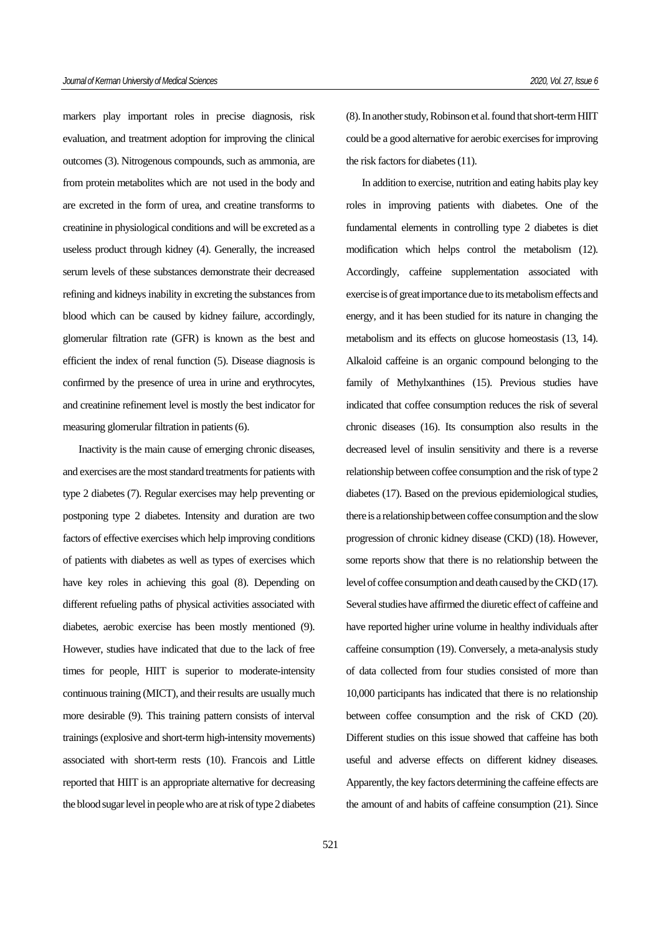markers play important roles in precise diagnosis, risk evaluation, and treatment adoption for improving the clinical outcomes (3). Nitrogenous compounds, such as ammonia, are from protein metabolites which are not used in the body and are excreted in the form of urea, and creatine transforms to creatinine in physiological conditions and will be excreted as a useless product through kidney (4). Generally, the increased serum levels of these substances demonstrate their decreased refining and kidneys inability in excreting the substances from blood which can be caused by kidney failure, accordingly, glomerular filtration rate (GFR) is known as the best and efficient the index of renal function (5). Disease diagnosis is confirmed by the presence of urea in urine and erythrocytes, and creatinine refinement level is mostly the best indicator for measuring glomerular filtration in patients (6).

Inactivity is the main cause of emerging chronic diseases, and exercises are the most standard treatments for patients with type 2 diabetes (7). Regular exercises may help preventing or postponing type 2 diabetes. Intensity and duration are two factors of effective exercises which help improving conditions of patients with diabetes as well as types of exercises which have key roles in achieving this goal (8). Depending on different refueling paths of physical activities associated with diabetes, aerobic exercise has been mostly mentioned (9). However, studies have indicated that due to the lack of free times for people, HIIT is superior to moderate-intensity continuous training (MICT), and their results are usually much more desirable (9). This training pattern consists of interval trainings (explosive and short-term high-intensity movements) associated with short-term rests (10). Francois and Little reported that HIIT is an appropriate alternative for decreasing the blood sugar level in people who are at risk of type 2 diabetes (8). In another study, Robinson et al. found that short-term HIIT could be a good alternative for aerobic exercises for improving the risk factors for diabetes (11).

In addition to exercise, nutrition and eating habits play key roles in improving patients with diabetes. One of the fundamental elements in controlling type 2 diabetes is diet modification which helps control the metabolism (12). Accordingly, caffeine supplementation associated with exercise is of great importance due to its metabolism effects and energy, and it has been studied for its nature in changing the metabolism and its effects on glucose homeostasis (13, 14). Alkaloid caffeine is an organic compound belonging to the family of Methylxanthines (15). Previous studies have indicated that coffee consumption reduces the risk of several chronic diseases (16). Its consumption also results in the decreased level of insulin sensitivity and there is a reverse relationship between coffee consumption and the risk of type 2 diabetes (17). Based on the previous epidemiological studies, there is a relationship between coffee consumption and the slow progression of chronic kidney disease (CKD) (18). However, some reports show that there is no relationship between the level of coffee consumption and death caused by the CKD (17). Several studies have affirmed the diuretic effect of caffeine and have reported higher urine volume in healthy individuals after caffeine consumption (19). Conversely, a meta-analysis study of data collected from four studies consisted of more than 10,000 participants has indicated that there is no relationship between coffee consumption and the risk of CKD (20). Different studies on this issue showed that caffeine has both useful and adverse effects on different kidney diseases. Apparently, the key factors determining the caffeine effects are the amount of and habits of caffeine consumption (21). Since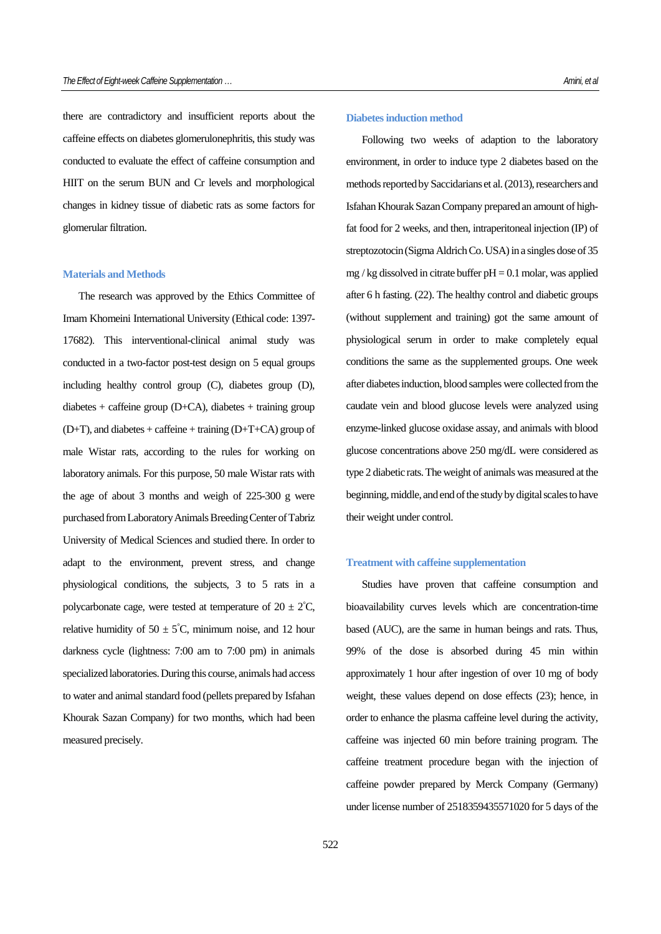there are contradictory and insufficient reports about the caffeine effects on diabetes glomerulonephritis, this study was conducted to evaluate the effect of caffeine consumption and HIIT on the serum BUN and Cr levels and morphological changes in kidney tissue of diabetic rats as some factors for glomerular filtration.

# **Materials and Methods**

The research was approved by the Ethics Committee of Imam Khomeini International University (Ethical code: 1397- 17682). This interventional-clinical animal study was conducted in a two-factor post-test design on 5 equal groups including healthy control group (C), diabetes group (D),  $diabetes + caféine group (D+CA), diabetes + training group$  $(D+T)$ , and diabetes + caffeine + training  $(D+T+CA)$  group of male Wistar rats, according to the rules for working on laboratory animals. For this purpose, 50 male Wistar rats with the age of about 3 months and weigh of 225-300 g were purchased from Laboratory Animals Breeding Center of Tabriz University of Medical Sciences and studied there. In order to adapt to the environment, prevent stress, and change physiological conditions, the subjects, 3 to 5 rats in a polycarbonate cage, were tested at temperature of  $20 \pm 2^{\circ}C$ , relative humidity of  $50 \pm 5^{\circ}$ C, minimum noise, and 12 hour darkness cycle (lightness: 7:00 am to 7:00 pm) in animals specialized laboratories. During this course, animals had access to water and animal standard food (pellets prepared by Isfahan Khourak Sazan Company) for two months, which had been measured precisely.

#### **Diabetes induction method**

Following two weeks of adaption to the laboratory environment, in order to induce type 2 diabetes based on the methods reported by Saccidarians et al. (2013), researchers and Isfahan Khourak Sazan Company prepared an amount of highfat food for 2 weeks, and then, intraperitoneal injection (IP) of streptozotocin (Sigma Aldrich Co. USA) in a singles dose of 35 mg / kg dissolved in citrate buffer  $pH = 0.1$  molar, was applied after 6 h fasting. (22). The healthy control and diabetic groups (without supplement and training) got the same amount of physiological serum in order to make completely equal conditions the same as the supplemented groups. One week after diabetes induction, blood samples were collected from the caudate vein and blood glucose levels were analyzed using enzyme-linked glucose oxidase assay, and animals with blood glucose concentrations above 250 mg/dL were considered as type 2 diabetic rats. The weight of animals was measured at the beginning, middle, and end of the study by digital scales to have their weight under control.

## **Treatment with caffeine supplementation**

Studies have proven that caffeine consumption and bioavailability curves levels which are concentration-time based (AUC), are the same in human beings and rats. Thus, 99% of the dose is absorbed during 45 min within approximately 1 hour after ingestion of over 10 mg of body weight, these values depend on dose effects (23); hence, in order to enhance the plasma caffeine level during the activity, caffeine was injected 60 min before training program. The caffeine treatment procedure began with the injection of caffeine powder prepared by Merck Company (Germany) under license number of 2518359435571020 for 5 days of the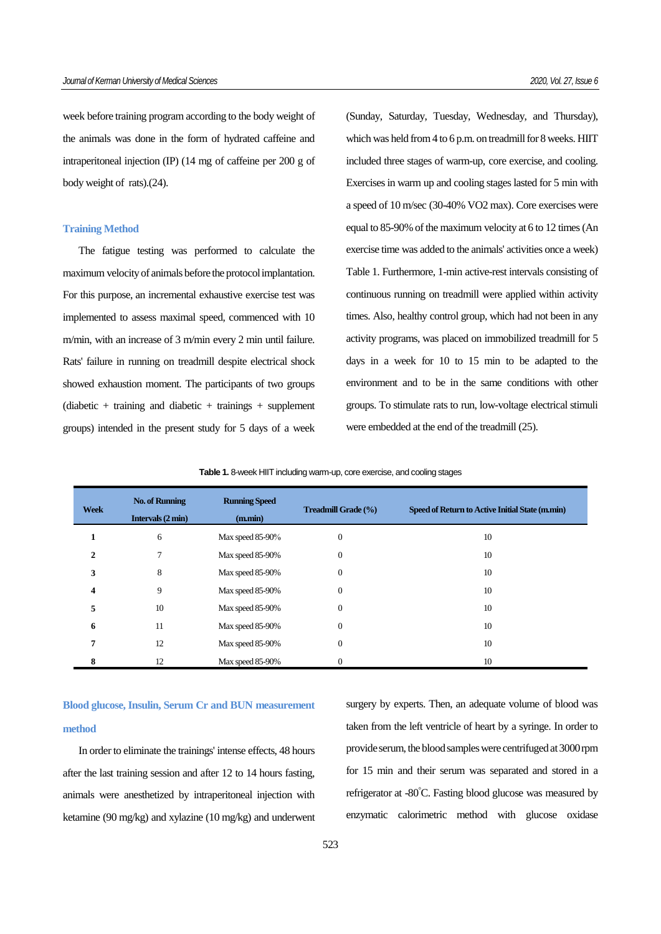week before training program according to the body weight of the animals was done in the form of hydrated caffeine and intraperitoneal injection (IP) (14 mg of caffeine per 200 g of body weight of rats).(24).

# **Training Method**

The fatigue testing was performed to calculate the maximum velocity of animals before the protocol implantation. For this purpose, an incremental exhaustive exercise test was implemented to assess maximal speed, commenced with 10 m/min, with an increase of 3 m/min every 2 min until failure. Rats' failure in running on treadmill despite electrical shock showed exhaustion moment. The participants of two groups  $(diabetic + training and diabetic + training + supplement)$ groups) intended in the present study for 5 days of a week

(Sunday, Saturday, Tuesday, Wednesday, and Thursday), which was held from 4 to 6 p.m. on treadmill for 8 weeks. HIIT included three stages of warm-up, core exercise, and cooling. Exercises in warm up and cooling stages lasted for 5 min with a speed of 10 m/sec (30-40% VO2 max). Core exercises were equal to 85-90% of the maximum velocity at 6 to 12 times (An exercise time was added to the animals' activities once a week) Table 1. Furthermore, 1-min active-rest intervals consisting of continuous running on treadmill were applied within activity times. Also, healthy control group, which had not been in any activity programs, was placed on immobilized treadmill for 5 days in a week for 10 to 15 min to be adapted to the environment and to be in the same conditions with other groups. To stimulate rats to run, low-voltage electrical stimuli were embedded at the end of the treadmill (25).

| <b>Week</b> | <b>No. of Running</b><br>Intervals (2 min) | <b>Running Speed</b><br>(m.min) | <b>Treadmill Grade (%)</b> | Speed of Return to Active Initial State (m.min) |
|-------------|--------------------------------------------|---------------------------------|----------------------------|-------------------------------------------------|
| 1           | 6                                          | Max speed 85-90%                | $\theta$                   | 10                                              |
| 2           | 7                                          | Max speed 85-90%                | $\overline{0}$             | 10                                              |
| 3           | 8                                          | Max speed 85-90%                | $\theta$                   | 10                                              |
| 4           | 9                                          | Max speed 85-90%                | $\theta$                   | 10                                              |
| 5           | 10                                         | Max speed 85-90%                | $\theta$                   | 10                                              |
| 6           | 11                                         | Max speed 85-90%                | $\overline{0}$             | 10                                              |
| 7           | 12                                         | Max speed 85-90%                | $\mathbf{0}$               | 10                                              |
|             | 12                                         | Max speed 85-90%                | $\overline{0}$             | 10                                              |

**Table 1.** 8-week HIIT including warm-up, core exercise, and cooling stages

# **Blood glucose, Insulin, Serum Cr and BUN measurement method**

In order to eliminate the trainings' intense effects, 48 hours after the last training session and after 12 to 14 hours fasting, animals were anesthetized by intraperitoneal injection with ketamine (90 mg/kg) and xylazine (10 mg/kg) and underwent surgery by experts. Then, an adequate volume of blood was taken from the left ventricle of heart by a syringe. In order to provide serum, the blood samples were centrifuged at 3000 rpm for 15 min and their serum was separated and stored in a refrigerator at -80°C. Fasting blood glucose was measured by enzymatic calorimetric method with glucose oxidase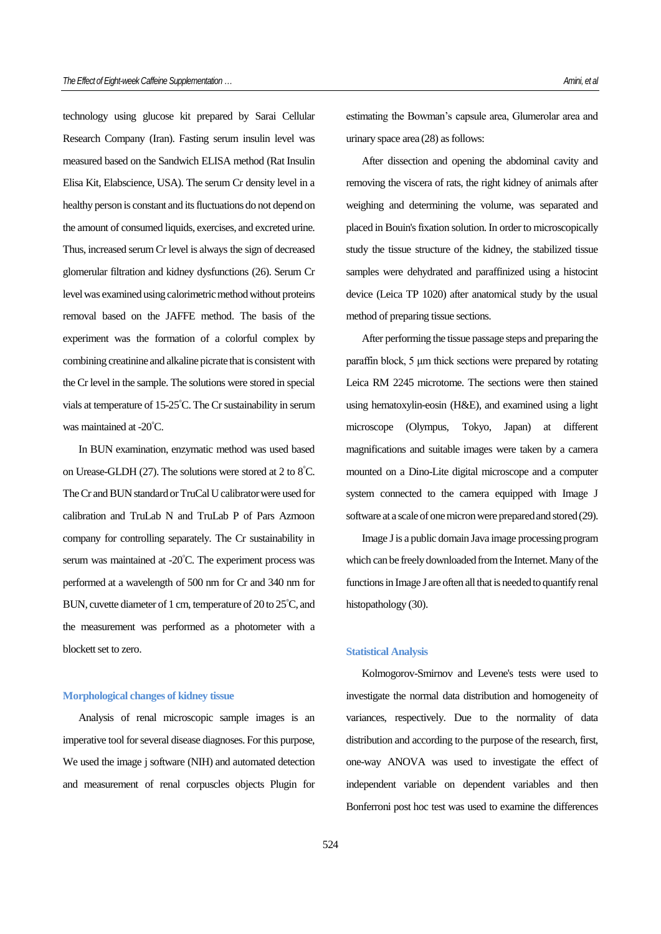technology using glucose kit prepared by Sarai Cellular Research Company (Iran). Fasting serum insulin level was measured based on the Sandwich ELISA method (Rat Insulin Elisa Kit, Elabscience, USA). The serum Cr density level in a healthy person is constant and its fluctuations do not depend on the amount of consumed liquids, exercises, and excreted urine. Thus, increased serum Cr level is always the sign of decreased glomerular filtration and kidney dysfunctions (26). Serum Cr level was examined using calorimetric method without proteins removal based on the JAFFE method. The basis of the experiment was the formation of a colorful complex by combining creatinine and alkaline picrate that is consistent with the Cr level in the sample. The solutions were stored in special vials at temperature of 15-25°C. The Cr sustainability in serum was maintained at -20°C.

In BUN examination, enzymatic method was used based on Urease-GLDH (27). The solutions were stored at 2 to 8°C. The Cr and BUN standard or TruCal U calibrator were used for calibration and TruLab N and TruLab P of Pars Azmoon company for controlling separately. The Cr sustainability in serum was maintained at -20°C. The experiment process was performed at a wavelength of 500 nm for Cr and 340 nm for BUN, cuvette diameter of 1 cm, temperature of 20 to 25°C, and the measurement was performed as a photometer with a blockett set to zero.

### **Morphological changes of kidney tissue**

Analysis of renal microscopic sample images is an imperative tool for several disease diagnoses. For this purpose, We used the image j software (NIH) and automated detection and measurement of renal corpuscles objects Plugin for estimating the Bowman's capsule area, Glumerolar area and urinary space area (28) as follows:

After dissection and opening the abdominal cavity and removing the viscera of rats, the right kidney of animals after weighing and determining the volume, was separated and placed in Bouin's fixation solution. In order to microscopically study the tissue structure of the kidney, the stabilized tissue samples were dehydrated and paraffinized using a histocint device (Leica TP 1020) after anatomical study by the usual method of preparing tissue sections.

After performing the tissue passage steps and preparing the paraffin block, 5 μm thick sections were prepared by rotating Leica RM 2245 microtome. The sections were then stained using hematoxylin-eosin (H&E), and examined using a light microscope (Olympus, Tokyo, Japan) at different magnifications and suitable images were taken by a camera mounted on a Dino-Lite digital microscope and a computer system connected to the camera equipped with Image J software at a scale of one micron were prepared and stored (29).

Image J is a public domain Java image processing program which can be freely downloaded from the Internet. Many of the functions in Image J are often all that is needed to quantify renal histopathology (30).

#### **Statistical Analysis**

Kolmogorov-Smirnov and Levene's tests were used to investigate the normal data distribution and homogeneity of variances, respectively. Due to the normality of data distribution and according to the purpose of the research, first, one-way ANOVA was used to investigate the effect of independent variable on dependent variables and then Bonferroni post hoc test was used to examine the differences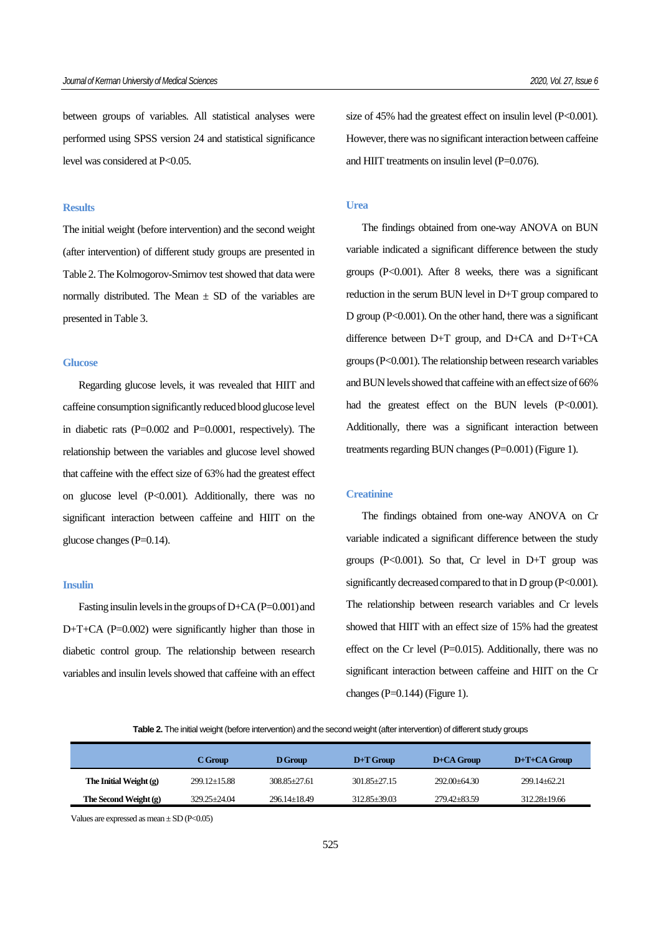between groups of variables. All statistical analyses were performed using SPSS version 24 and statistical significance level was considered at P<0.05.

## **Results**

The initial weight (before intervention) and the second weight (after intervention) of different study groups are presented in Table 2. The Kolmogorov-Smirnov test showed that data were normally distributed. The Mean  $\pm$  SD of the variables are presented in Table 3.

### **Glucose**

Regarding glucose levels, it was revealed that HIIT and caffeine consumption significantly reduced blood glucose level in diabetic rats (P=0.002 and P=0.0001, respectively). The relationship between the variables and glucose level showed that caffeine with the effect size of 63% had the greatest effect on glucose level (P<0.001). Additionally, there was no significant interaction between caffeine and HIIT on the glucose changes (P=0.14).

#### **Insulin**

Fasting insulin levels in the groups of D+CA (P=0.001) and D+T+CA (P=0.002) were significantly higher than those in diabetic control group. The relationship between research variables and insulin levels showed that caffeine with an effect size of 45% had the greatest effect on insulin level (P<0.001). However, there was no significant interaction between caffeine and HIIT treatments on insulin level (P=0.076).

### **Urea**

The findings obtained from one-way ANOVA on BUN variable indicated a significant difference between the study groups (P<0.001). After 8 weeks, there was a significant reduction in the serum BUN level in D+T group compared to D group (P<0.001). On the other hand, there was a significant difference between D+T group, and D+CA and D+T+CA groups (P<0.001). The relationship between research variables and BUN levels showed that caffeine with an effect size of 66% had the greatest effect on the BUN levels (P<0.001). Additionally, there was a significant interaction between treatments regarding BUN changes (P=0.001) (Figure 1).

# **Creatinine**

The findings obtained from one-way ANOVA on Cr variable indicated a significant difference between the study groups ( $P<0.001$ ). So that, Cr level in  $D+T$  group was significantly decreased compared to that in  $D$  group ( $P<0.001$ ). The relationship between research variables and Cr levels showed that HIIT with an effect size of 15% had the greatest effect on the Cr level  $(P=0.015)$ . Additionally, there was no significant interaction between caffeine and HIIT on the Cr changes  $(P=0.144)$  (Figure 1).

**Table 2.** The initial weight (before intervention) and the second weight (after intervention) of different study groups

|                          | C Group            | D Group            | $D+T$ Group      | $D + CA$ Group   | $D+T+CA$ Group     |
|--------------------------|--------------------|--------------------|------------------|------------------|--------------------|
| The Initial Weight $(g)$ | $299.12 \pm 15.88$ | $308.85 + 27.61$   | $301.85 + 27.15$ | $292.00 + 64.30$ | 299.14+62.21       |
| The Second Weight (g)    | $329.25 + 24.04$   | $296.14 \pm 18.49$ | $312.85 + 39.03$ | 279.42 + 83.59   | $312.28 \pm 19.66$ |

Values are expressed as mean  $\pm$  SD (P<0.05)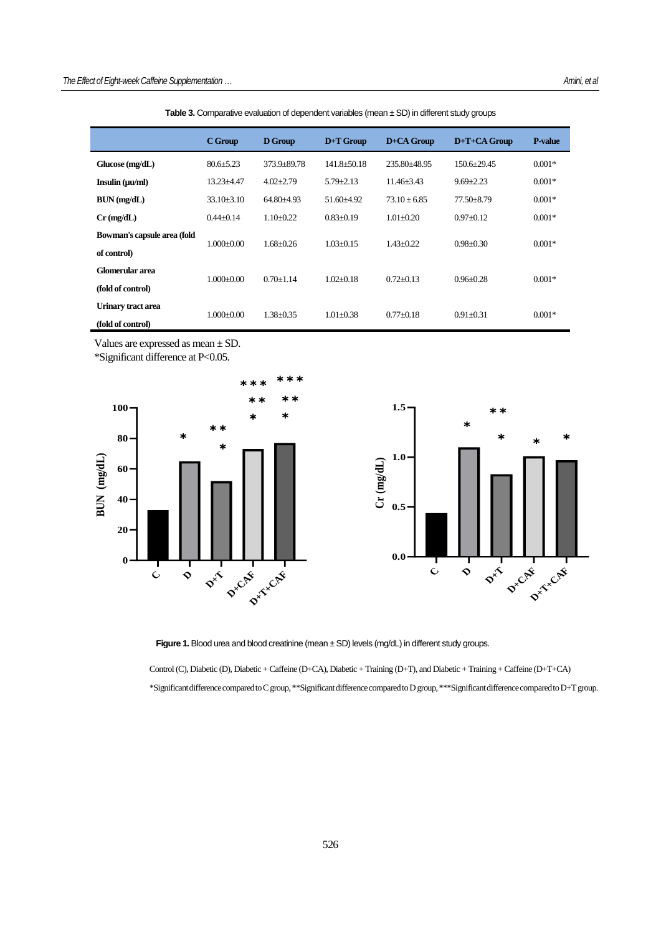|                             | C Group        | D Group         | $D+T$ Group       | D+CA Group      | D+T+CA Group    | <b>P-value</b> |
|-----------------------------|----------------|-----------------|-------------------|-----------------|-----------------|----------------|
| Glucose (mg/dL)             | $80.6 + 5.23$  | 373.9+89.78     | $141.8 \pm 50.18$ | 235.80+48.95    | $150.6 + 29.45$ | $0.001*$       |
| Insulin (uu/ml)             | $13.23 + 4.47$ | $4.02 + 2.79$   | $5.79 + 2.13$     | $11.46 + 3.43$  | $9.69 + 2.23$   | $0.001*$       |
| $BUN$ (mg/dL)               | $33.10 + 3.10$ | $64.80 + 4.93$  | $51.60 + 4.92$    | $73.10 + 6.85$  | $77.50 + 8.79$  | $0.001*$       |
| $Cr$ (mg/dL)                | $0.44 + 0.14$  | $1.10 \pm 0.22$ | $0.83 + 0.19$     | $1.01 + 0.20$   | $0.97 + 0.12$   | $0.001*$       |
| Bowman's capsule area (fold | $1.000+0.00$   | $1.68 + 0.26$   | $1.03 + 0.15$     | $1.43 \pm 0.22$ | $0.98 \pm 0.30$ | $0.001*$       |
| of control)                 |                |                 |                   |                 |                 |                |
| Glomerular area             | $1.000+0.00$   | $0.70 + 1.14$   | $1.02 + 0.18$     | $0.72 + 0.13$   | $0.96 + 0.28$   | $0.001*$       |
| (fold of control)           |                |                 |                   |                 |                 |                |
| Urinary tract area          | $1.000\pm0.00$ | $1.38 + 0.35$   | $1.01 + 0.38$     | $0.77 \pm 0.18$ | $0.91 \pm 0.31$ | $0.001*$       |
| (fold of control)           |                |                 |                   |                 |                 |                |

Table 3. Comparative evaluation of dependent variables (mean ± SD) in different study groups

Values are expressed as mean ± SD.

\*Significant difference at P<0.05.





Figure 1. Blood urea and blood creatinine (mean ± SD) levels (mg/dL) in different study groups.

Control (C), Diabetic (D), Diabetic + Caffeine (D+CA), Diabetic + Training (D+T), and Diabetic + Training + Caffeine (D+T+CA) \*Significant difference compared to C group, \*\*Significant difference compared to D group, \*\*\*Significant difference comparedto D+T group.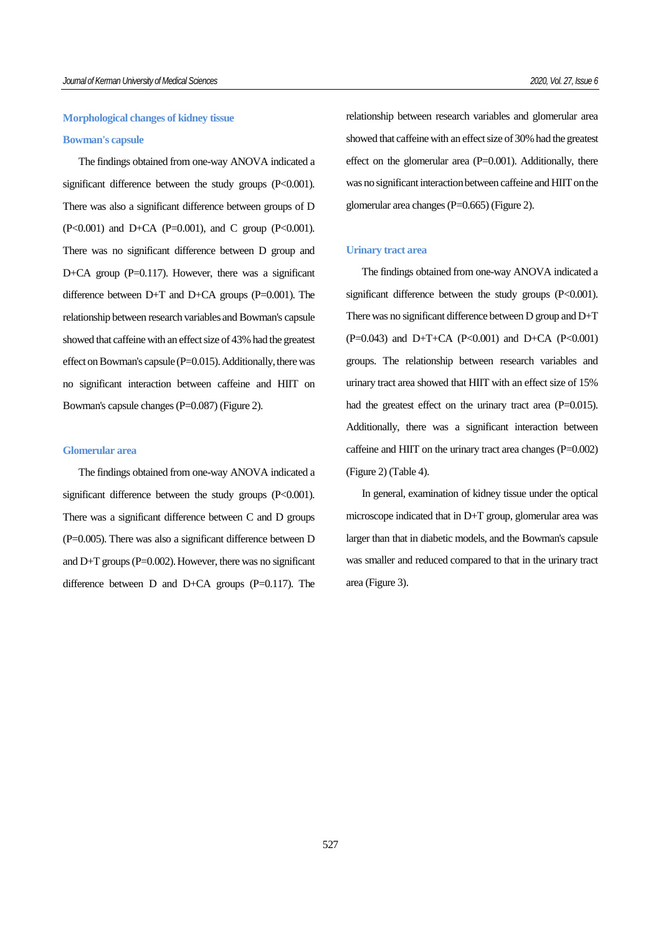# **Morphological changes of kidney tissue**

# **Bowman's capsule**

The findings obtained from one-way ANOVA indicated a significant difference between the study groups (P<0.001). There was also a significant difference between groups of D (P<0.001) and D+CA (P=0.001), and C group (P<0.001). There was no significant difference between D group and D+CA group  $(P=0.117)$ . However, there was a significant difference between  $D+T$  and  $D+CA$  groups ( $P=0.001$ ). The relationship between research variables and Bowman's capsule showed that caffeine with an effect size of 43% had the greatest effect on Bowman's capsule  $(P=0.015)$ . Additionally, there was no significant interaction between caffeine and HIIT on Bowman's capsule changes (P=0.087) (Figure 2).

## **Glomerular area**

The findings obtained from one-way ANOVA indicated a significant difference between the study groups (P<0.001). There was a significant difference between C and D groups (P=0.005). There was also a significant difference between D and  $D+T$  groups ( $P=0.002$ ). However, there was no significant difference between  $D$  and  $D+CA$  groups (P=0.117). The relationship between research variables and glomerular area showed that caffeine with an effect size of 30% had the greatest effect on the glomerular area (P=0.001). Additionally, there was no significant interaction between caffeine and HIIT on the glomerular area changes (P=0.665) (Figure 2).

#### **Urinary tract area**

The findings obtained from one-way ANOVA indicated a significant difference between the study groups (P<0.001). There was no significant difference between D group and D+T (P=0.043) and D+T+CA (P<0.001) and D+CA (P<0.001) groups. The relationship between research variables and urinary tract area showed that HIIT with an effect size of 15% had the greatest effect on the urinary tract area (P=0.015). Additionally, there was a significant interaction between caffeine and HIIT on the urinary tract area changes (P=0.002) (Figure 2) (Table 4).

In general, examination of kidney tissue under the optical microscope indicated that in D+T group, glomerular area was larger than that in diabetic models, and the Bowman's capsule was smaller and reduced compared to that in the urinary tract area (Figure 3).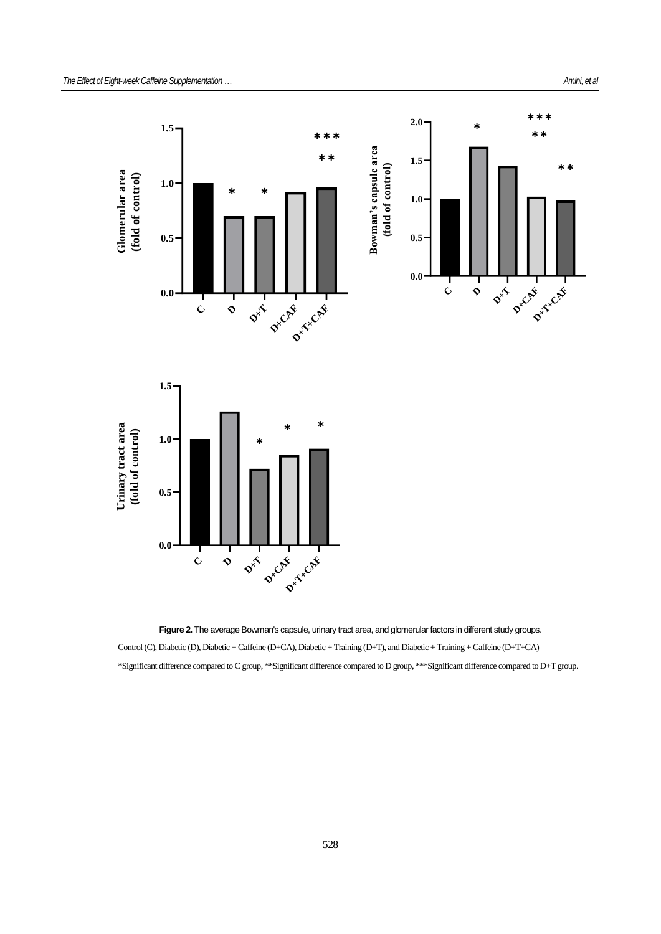

Figure 2. The average Bowman's capsule, urinary tract area, and glomerular factors in different study groups. Control (C), Diabetic (D), Diabetic + Caffeine (D+CA), Diabetic + Training (D+T), and Diabetic + Training + Caffeine (D+T+CA) \*Significant difference compared to C group, \*\*Significant difference compared to D group, \*\*\*Significant difference compared to D+T group.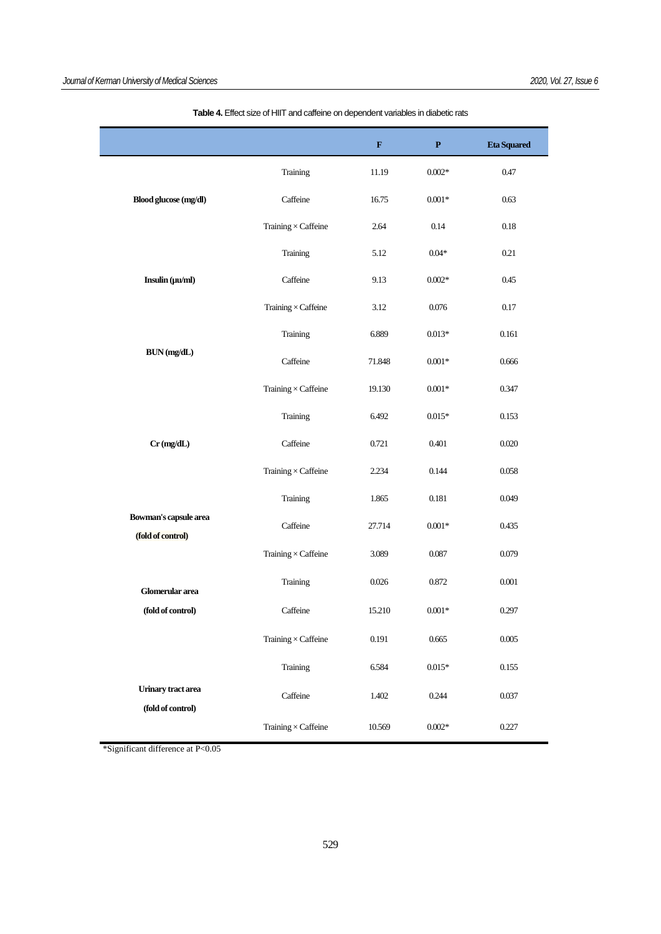|                                            |                            | $\mathbf F$ | $\mathbf{P}$ | <b>Eta Squared</b> |
|--------------------------------------------|----------------------------|-------------|--------------|--------------------|
|                                            | Training                   | 11.19       | $0.002*$     | 0.47               |
| Blood glucose (mg/dl)                      | Caffeine                   | 16.75       | $0.001*$     | 0.63               |
|                                            | Training $\times$ Caffeine | 2.64        | 0.14         | 0.18               |
|                                            | Training                   | 5.12        | $0.04*$      | 0.21               |
| Insulin (µu/ml)                            | Caffeine                   | 9.13        | $0.002*$     | 0.45               |
|                                            | Training $\times$ Caffeine | 3.12        | 0.076        | 0.17               |
|                                            | Training                   | 6.889       | $0.013*$     | 0.161              |
| BUN (mg/dL)                                | Caffeine                   | 71.848      | $0.001*$     | 0.666              |
|                                            | Training $\times$ Caffeine | 19.130      | $0.001*$     | 0.347              |
|                                            | Training                   | 6.492       | $0.015*$     | 0.153              |
| $Cr$ (mg/dL)                               | Caffeine                   | 0.721       | 0.401        | 0.020              |
|                                            | Training $\times$ Caffeine | 2.234       | 0.144        | 0.058              |
|                                            | Training                   | 1.865       | 0.181        | 0.049              |
| Bowman's capsule area<br>(fold of control) | Caffeine                   | 27.714      | $0.001\,ast$ | 0.435              |
|                                            | Training $\times$ Caffeine | 3.089       | 0.087        | 0.079              |
| Glomerular area                            | Training                   | 0.026       | 0.872        | $0.001\,$          |
| (fold of control)                          | Caffeine                   | 15.210      | $0.001*$     | 0.297              |
|                                            | Training $\times$ Caffeine | 0.191       | 0.665        | 0.005              |
|                                            | Training                   | 6.584       | $0.015*$     | 0.155              |
| <b>Urinary</b> tract area                  | Caffeine                   | 1.402       | 0.244        | 0.037              |
| (fold of control)                          | Training $\times$ Caffeine | 10.569      | $0.002*$     | 0.227              |

**Table 4.** Effect size of HIIT and caffeine on dependent variables in diabetic rats

\*Significant difference at P<0.05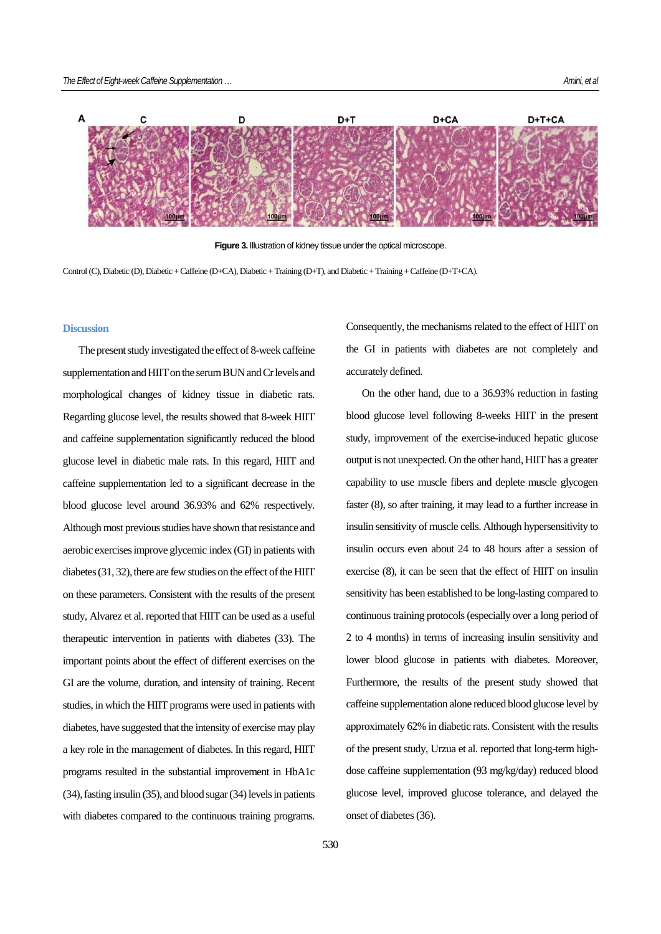

**Figure 3.** Illustration of kidney tissue under the optical microscope.

Control (C), Diabetic (D), Diabetic + Caffeine (D+CA), Diabetic + Training (D+T), and Diabetic + Training + Caffeine (D+T+CA).

## **Discussion**

The present study investigated the effect of 8-week caffeine supplementation and HIIT on the serum BUN and Cr levels and morphological changes of kidney tissue in diabetic rats. Regarding glucose level, the results showed that 8-week HIIT and caffeine supplementation significantly reduced the blood glucose level in diabetic male rats. In this regard, HIIT and caffeine supplementation led to a significant decrease in the blood glucose level around 36.93% and 62% respectively. Although most previous studies have shown that resistance and aerobic exercises improve glycemic index (GI) in patients with diabetes (31, 32), there are few studies on the effect of the HIIT on these parameters. Consistent with the results of the present study, Alvarez et al. reported that HIIT can be used as a useful therapeutic intervention in patients with diabetes (33). The important points about the effect of different exercises on the GI are the volume, duration, and intensity of training. Recent studies, in which the HIIT programs were used in patients with diabetes, have suggested that the intensity of exercise may play a key role in the management of diabetes. In this regard, HIIT programs resulted in the substantial improvement in HbA1c (34), fasting insulin (35), and blood sugar (34)levels in patients with diabetes compared to the continuous training programs.

Consequently, the mechanisms related to the effect of HIIT on the GI in patients with diabetes are not completely and accurately defined.

On the other hand, due to a 36.93% reduction in fasting blood glucose level following 8-weeks HIIT in the present study, improvement of the exercise-induced hepatic glucose output is not unexpected. On the other hand, HIIT has a greater capability to use muscle fibers and deplete muscle glycogen faster (8), so after training, it may lead to a further increase in insulin sensitivity of muscle cells. Although hypersensitivity to insulin occurs even about 24 to 48 hours after a session of exercise (8), it can be seen that the effect of HIIT on insulin sensitivity has been established to be long-lasting compared to continuous training protocols (especially over a long period of 2 to 4 months) in terms of increasing insulin sensitivity and lower blood glucose in patients with diabetes. Moreover, Furthermore, the results of the present study showed that caffeine supplementation alone reduced blood glucose level by approximately 62% in diabetic rats. Consistent with the results of the present study, Urzua et al. reported that long-term highdose caffeine supplementation (93 mg/kg/day) reduced blood glucose level, improved glucose tolerance, and delayed the onset of diabetes (36).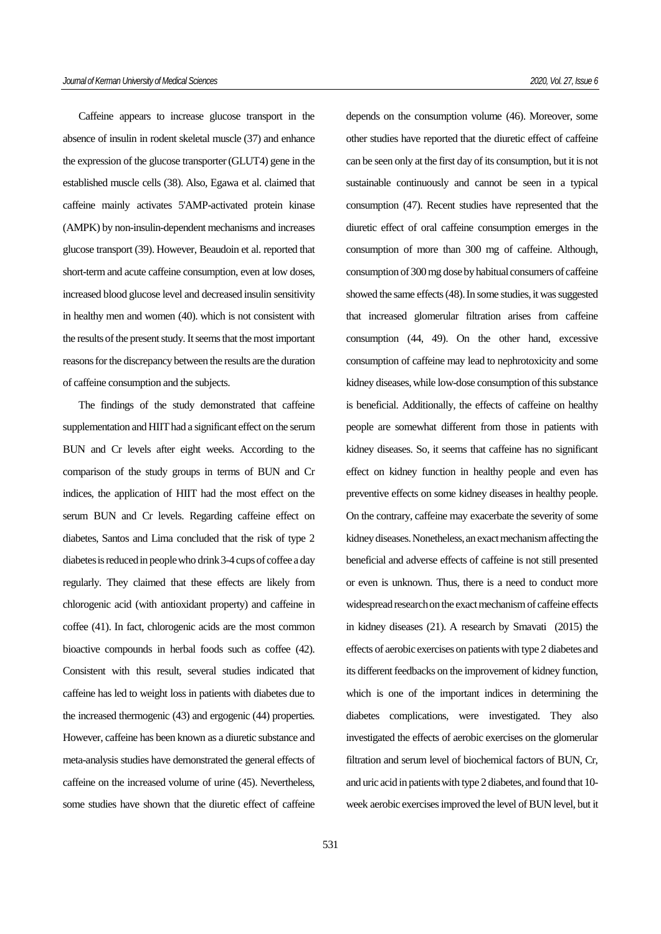Caffeine appears to increase glucose transport in the absence of insulin in rodent skeletal muscle (37) and enhance the expression of the glucose transporter (GLUT4) gene in the established muscle cells (38). Also, Egawa et al. claimed that caffeine mainly activates 5'AMP-activated protein kinase (AMPK) by non-insulin-dependent mechanisms and increases glucose transport (39). However, Beaudoin et al. reported that short-term and acute caffeine consumption, even at low doses, increased blood glucose level and decreased insulin sensitivity in healthy men and women (40). which is not consistent with the results of the present study. It seems that the most important reasons for the discrepancy between the results are the duration of caffeine consumption and the subjects.

The findings of the study demonstrated that caffeine supplementation and HIIT had a significant effect on the serum BUN and Cr levels after eight weeks. According to the comparison of the study groups in terms of BUN and Cr indices, the application of HIIT had the most effect on the serum BUN and Cr levels. Regarding caffeine effect on diabetes, Santos and Lima concluded that the risk of type 2 diabetes is reduced in people who drink 3-4 cups of coffee a day regularly. They claimed that these effects are likely from chlorogenic acid (with antioxidant property) and caffeine in coffee (41). In fact, chlorogenic acids are the most common bioactive compounds in herbal foods such as coffee (42). Consistent with this result, several studies indicated that caffeine has led to weight loss in patients with diabetes due to the increased thermogenic (43) and ergogenic (44) properties. However, caffeine has been known as a diuretic substance and meta-analysis studies have demonstrated the general effects of caffeine on the increased volume of urine (45). Nevertheless, some studies have shown that the diuretic effect of caffeine depends on the consumption volume (46). Moreover, some other studies have reported that the diuretic effect of caffeine can be seen only at the first day of its consumption, but it is not sustainable continuously and cannot be seen in a typical consumption (47). Recent studies have represented that the diuretic effect of oral caffeine consumption emerges in the consumption of more than 300 mg of caffeine. Although, consumption of 300 mg dose by habitual consumers of caffeine showed the same effects (48). In some studies, it was suggested that increased glomerular filtration arises from caffeine consumption (44, 49). On the other hand, excessive consumption of caffeine may lead to nephrotoxicity and some kidney diseases, while low-dose consumption of this substance is beneficial. Additionally, the effects of caffeine on healthy people are somewhat different from those in patients with kidney diseases. So, it seems that caffeine has no significant effect on kidney function in healthy people and even has preventive effects on some kidney diseases in healthy people. On the contrary, caffeine may exacerbate the severity of some kidney diseases. Nonetheless, an exact mechanism affecting the beneficial and adverse effects of caffeine is not still presented or even is unknown. Thus, there is a need to conduct more widespread research on the exact mechanism of caffeine effects in kidney diseases (21). A research by Smavati (2015) the effects of aerobic exercises on patients with type 2 diabetes and its different feedbacks on the improvement of kidney function, which is one of the important indices in determining the diabetes complications, were investigated. They also investigated the effects of aerobic exercises on the glomerular filtration and serum level of biochemical factors of BUN, Cr, and uric acid in patients with type 2 diabetes, and found that 10 week aerobic exercises improved the level of BUN level, but it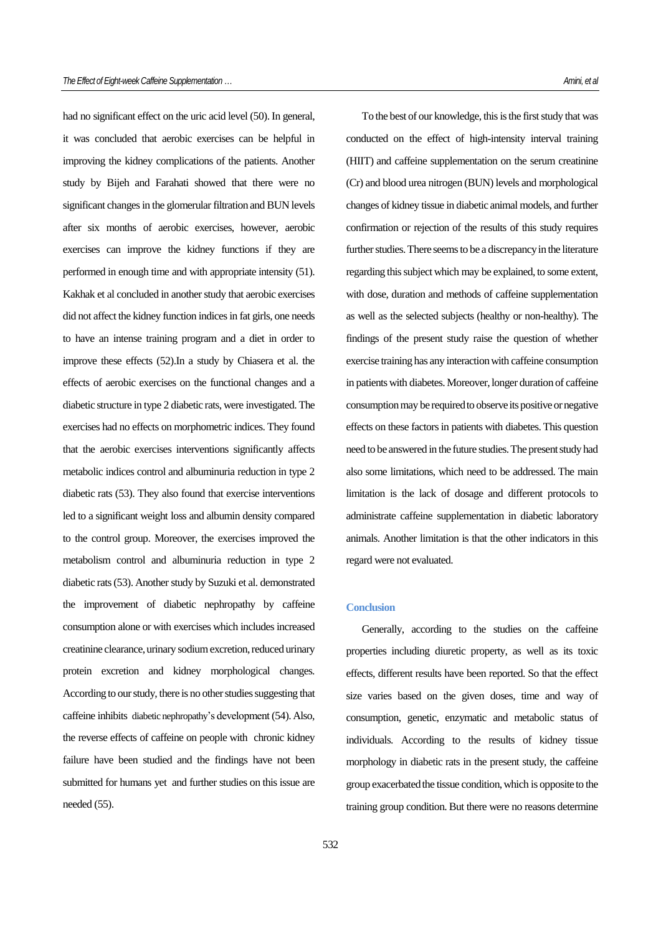had no significant effect on the uric acid level (50). In general, it was concluded that aerobic exercises can be helpful in improving the kidney complications of the patients. Another study by Bijeh and Farahati showed that there were no significant changes in the glomerular filtration and BUN levels after six months of aerobic exercises, however, aerobic exercises can improve the kidney functions if they are performed in enough time and with appropriate intensity (51). Kakhak et al concluded in another study that aerobic exercises did not affect the kidney function indices in fat girls, one needs to have an intense training program and a diet in order to improve these effects (52).In a study by Chiasera et al. the effects of aerobic exercises on the functional changes and a diabetic structure in type 2 diabetic rats, were investigated. The exercises had no effects on morphometric indices. They found that the aerobic exercises interventions significantly affects metabolic indices control and albuminuria reduction in type 2 diabetic rats (53). They also found that exercise interventions led to a significant weight loss and albumin density compared to the control group. Moreover, the exercises improved the metabolism control and albuminuria reduction in type 2 diabetic rats (53). Another study by Suzuki et al. demonstrated the improvement of diabetic nephropathy by caffeine consumption alone or with exercises which includes increased creatinine clearance, urinary sodium excretion, reduced urinary protein excretion and kidney morphological changes. According to ourstudy, there is no other studies suggesting that caffeine inhibits diabetic nephropathy's development (54). Also, the reverse effects of caffeine on people with chronic kidney failure have been studied and the findings have not been submitted for humans yet and further studies on this issue are needed (55).

To the best of our knowledge, this is the first study that was conducted on the effect of high-intensity interval training (HIIT) and caffeine supplementation on the serum creatinine (Cr) and blood urea nitrogen (BUN) levels and morphological changes of kidney tissue in diabetic animal models, and further confirmation or rejection of the results of this study requires further studies. There seems to be a discrepancy in the literature regarding this subject which may be explained, to some extent, with dose, duration and methods of caffeine supplementation as well as the selected subjects (healthy or non-healthy). The findings of the present study raise the question of whether exercise training has any interaction with caffeine consumption in patients with diabetes. Moreover, longer duration of caffeine consumption may be required to observe its positive or negative effects on these factors in patients with diabetes. This question need to be answered in the future studies. The present study had also some limitations, which need to be addressed. The main limitation is the lack of dosage and different protocols to administrate caffeine supplementation in diabetic laboratory animals. Another limitation is that the other indicators in this regard were not evaluated.

# **Conclusion**

Generally, according to the studies on the caffeine properties including diuretic property, as well as its toxic effects, different results have been reported. So that the effect size varies based on the given doses, time and way of consumption, genetic, enzymatic and metabolic status of individuals. According to the results of kidney tissue morphology in diabetic rats in the present study, the caffeine group exacerbated the tissue condition, which is opposite to the training group condition. But there were no reasons determine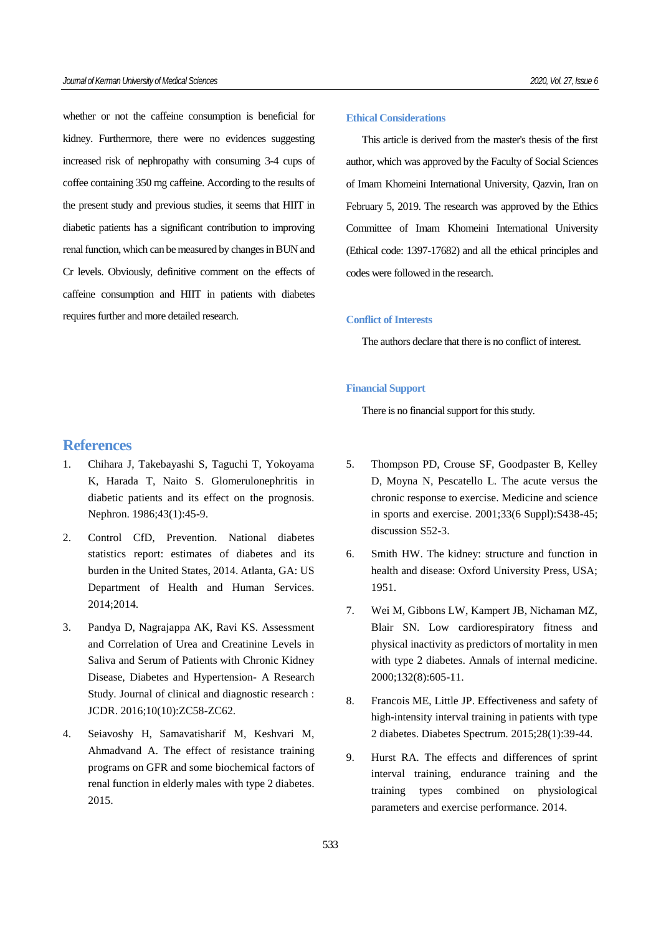whether or not the caffeine consumption is beneficial for kidney. Furthermore, there were no evidences suggesting increased risk of nephropathy with consuming 3-4 cups of coffee containing 350 mg caffeine. According to the results of the present study and previous studies, it seems that HIIT in diabetic patients has a significant contribution to improving renal function, which can be measured by changes in BUN and Cr levels. Obviously, definitive comment on the effects of caffeine consumption and HIIT in patients with diabetes requires further and more detailed research.

#### **Ethical Considerations**

This article is derived from the master's thesis of the first author, which was approved by the Faculty of Social Sciences of Imam Khomeini International University, Qazvin, Iran on February 5, 2019. The research was approved by the Ethics Committee of Imam Khomeini International University (Ethical code: 1397-17682) and all the ethical principles and codes were followed in the research.

### **Conflict of Interests**

The authors declare that there is no conflict of interest.

# **Financial Support**

There is no financial support for this study.

- **References**
- 1. Chihara J, Takebayashi S, Taguchi T, Yokoyama K, Harada T, Naito S. Glomerulonephritis in diabetic patients and its effect on the prognosis. Nephron. 1986;43(1):45-9.
- 2. Control CfD, Prevention. National diabetes statistics report: estimates of diabetes and its burden in the United States, 2014. Atlanta, GA: US Department of Health and Human Services. 2014;2014.
- 3. Pandya D, Nagrajappa AK, Ravi KS. Assessment and Correlation of Urea and Creatinine Levels in Saliva and Serum of Patients with Chronic Kidney Disease, Diabetes and Hypertension- A Research Study. Journal of clinical and diagnostic research : JCDR. 2016;10(10):ZC58-ZC62.
- 4. Seiavoshy H, Samavatisharif M, Keshvari M, Ahmadvand A. The effect of resistance training programs on GFR and some biochemical factors of renal function in elderly males with type 2 diabetes. 2015.
- 5. Thompson PD, Crouse SF, Goodpaster B, Kelley D, Moyna N, Pescatello L. The acute versus the chronic response to exercise. Medicine and science in sports and exercise. 2001;33(6 Suppl):S438-45; discussion S52-3.
- 6. Smith HW. The kidney: structure and function in health and disease: Oxford University Press, USA; 1951.
- 7. Wei M, Gibbons LW, Kampert JB, Nichaman MZ, Blair SN. Low cardiorespiratory fitness and physical inactivity as predictors of mortality in men with type 2 diabetes. Annals of internal medicine. 2000;132(8):605-11.
- 8. Francois ME, Little JP. Effectiveness and safety of high-intensity interval training in patients with type 2 diabetes. Diabetes Spectrum. 2015;28(1):39-44.
- 9. Hurst RA. The effects and differences of sprint interval training, endurance training and the training types combined on physiological parameters and exercise performance. 2014.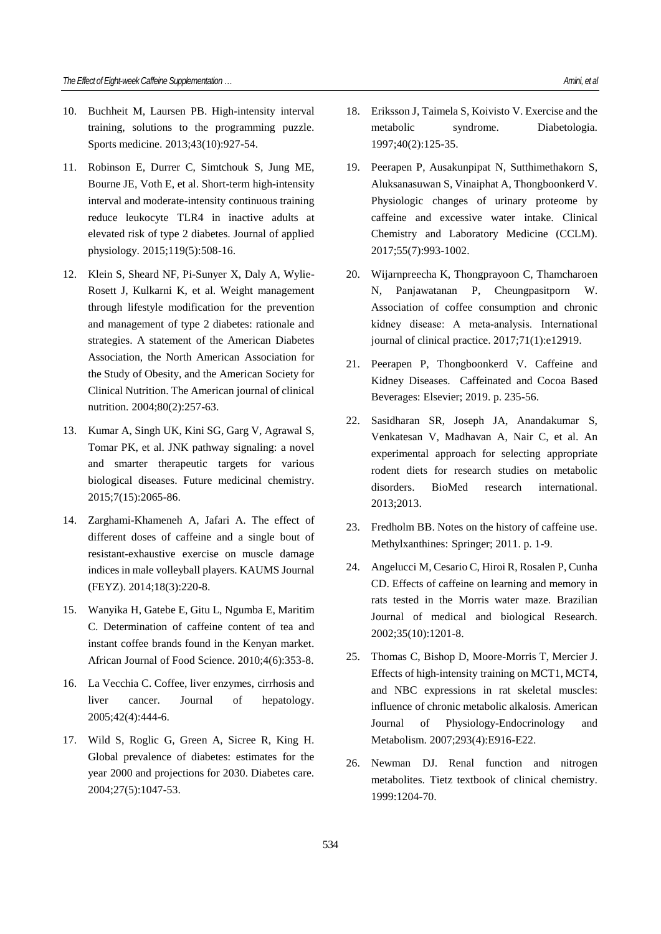- 10. Buchheit M, Laursen PB. High-intensity interval training, solutions to the programming puzzle. Sports medicine. 2013;43(10):927-54.
- 11. Robinson E, Durrer C, Simtchouk S, Jung ME, Bourne JE, Voth E, et al. Short-term high-intensity interval and moderate-intensity continuous training reduce leukocyte TLR4 in inactive adults at elevated risk of type 2 diabetes. Journal of applied physiology. 2015;119(5):508-16.
- 12. Klein S, Sheard NF, Pi-Sunyer X, Daly A, Wylie-Rosett J, Kulkarni K, et al. Weight management through lifestyle modification for the prevention and management of type 2 diabetes: rationale and strategies. A statement of the American Diabetes Association, the North American Association for the Study of Obesity, and the American Society for Clinical Nutrition. The American journal of clinical nutrition. 2004;80(2):257-63.
- 13. Kumar A, Singh UK, Kini SG, Garg V, Agrawal S, Tomar PK, et al. JNK pathway signaling: a novel and smarter therapeutic targets for various biological diseases. Future medicinal chemistry. 2015;7(15):2065-86.
- 14. Zarghami-Khameneh A, Jafari A. The effect of different doses of caffeine and a single bout of resistant-exhaustive exercise on muscle damage indices in male volleyball players. KAUMS Journal (FEYZ). 2014;18(3):220-8.
- 15. Wanyika H, Gatebe E, Gitu L, Ngumba E, Maritim C. Determination of caffeine content of tea and instant coffee brands found in the Kenyan market. African Journal of Food Science. 2010;4(6):353-8.
- 16. La Vecchia C. Coffee, liver enzymes, cirrhosis and liver cancer. Journal of hepatology. 2005;42(4):444-6.
- 17. Wild S, Roglic G, Green A, Sicree R, King H. Global prevalence of diabetes: estimates for the year 2000 and projections for 2030. Diabetes care. 2004;27(5):1047-53.
- 
- 18. Eriksson J, Taimela S, Koivisto V. Exercise and the metabolic syndrome. Diabetologia. 1997;40(2):125-35.
- 19. Peerapen P, Ausakunpipat N, Sutthimethakorn S, Aluksanasuwan S, Vinaiphat A, Thongboonkerd V. Physiologic changes of urinary proteome by caffeine and excessive water intake. Clinical Chemistry and Laboratory Medicine (CCLM). 2017;55(7):993-1002.
- 20. Wijarnpreecha K, Thongprayoon C, Thamcharoen N, Panjawatanan P, Cheungpasitporn W. Association of coffee consumption and chronic kidney disease: A meta‐analysis. International journal of clinical practice. 2017;71(1):e12919.
- 21. Peerapen P, Thongboonkerd V. Caffeine and Kidney Diseases. Caffeinated and Cocoa Based Beverages: Elsevier; 2019. p. 235-56.
- 22. Sasidharan SR, Joseph JA, Anandakumar S, Venkatesan V, Madhavan A, Nair C, et al. An experimental approach for selecting appropriate rodent diets for research studies on metabolic disorders. BioMed research international. 2013;2013.
- 23. Fredholm BB. Notes on the history of caffeine use. Methylxanthines: Springer; 2011. p. 1-9.
- 24. Angelucci M, Cesario C, Hiroi R, Rosalen P, Cunha CD. Effects of caffeine on learning and memory in rats tested in the Morris water maze. Brazilian Journal of medical and biological Research. 2002;35(10):1201-8.
- 25. Thomas C, Bishop D, Moore-Morris T, Mercier J. Effects of high-intensity training on MCT1, MCT4, and NBC expressions in rat skeletal muscles: influence of chronic metabolic alkalosis. American Journal of Physiology-Endocrinology and Metabolism. 2007;293(4):E916-E22.
- 26. Newman DJ. Renal function and nitrogen metabolites. Tietz textbook of clinical chemistry. 1999:1204-70.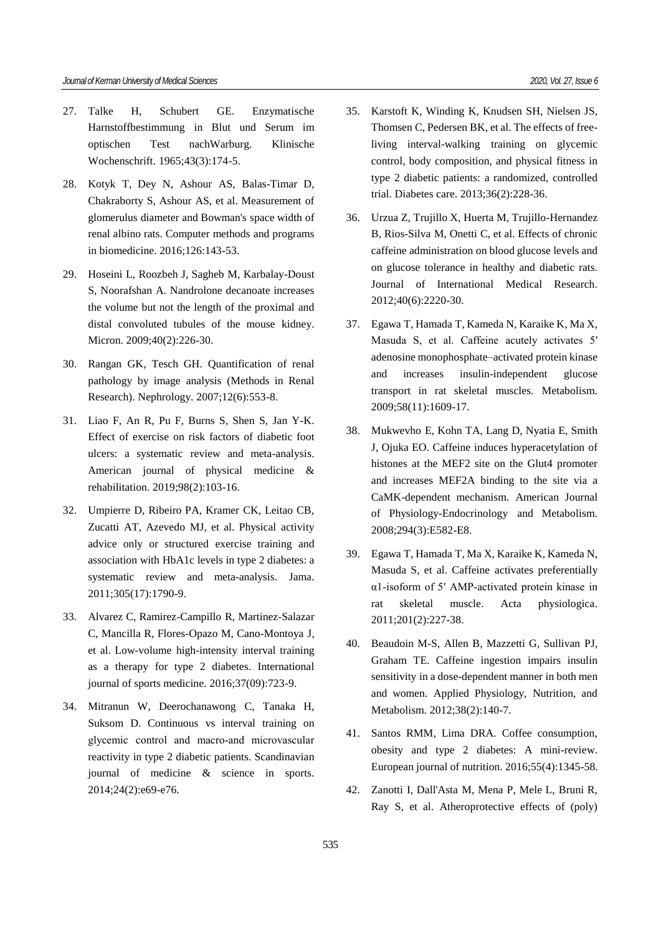- 27. Talke H, Schubert GE. Enzymatische Harnstoffbestimmung in Blut und Serum im optischen Test nachWarburg. Klinische Wochenschrift. 1965;43(3):174-5.
- 28. Kotyk T, Dey N, Ashour AS, Balas-Timar D, Chakraborty S, Ashour AS, et al. Measurement of glomerulus diameter and Bowman's space width of renal albino rats. Computer methods and programs in biomedicine. 2016;126:143-53.
- 29. Hoseini L, Roozbeh J, Sagheb M, Karbalay-Doust S, Noorafshan A. Nandrolone decanoate increases the volume but not the length of the proximal and distal convoluted tubules of the mouse kidney. Micron. 2009;40(2):226-30.
- 30. Rangan GK, Tesch GH. Quantification of renal pathology by image analysis (Methods in Renal Research). Nephrology. 2007;12(6):553-8.
- 31. Liao F, An R, Pu F, Burns S, Shen S, Jan Y-K. Effect of exercise on risk factors of diabetic foot ulcers: a systematic review and meta-analysis. American journal of physical medicine & rehabilitation. 2019;98(2):103-16.
- 32. Umpierre D, Ribeiro PA, Kramer CK, Leitao CB, Zucatti AT, Azevedo MJ, et al. Physical activity advice only or structured exercise training and association with HbA1c levels in type 2 diabetes: a systematic review and meta-analysis. Jama. 2011;305(17):1790-9.
- 33. Alvarez C, Ramirez-Campillo R, Martinez-Salazar C, Mancilla R, Flores-Opazo M, Cano-Montoya J, et al. Low-volume high-intensity interval training as a therapy for type 2 diabetes. International journal of sports medicine. 2016;37(09):723-9.
- 34. Mitranun W, Deerochanawong C, Tanaka H, Suksom D. Continuous vs interval training on glycemic control and macro‐and microvascular reactivity in type 2 diabetic patients. Scandinavian journal of medicine & science in sports. 2014;24(2):e69-e76.
- 35. Karstoft K, Winding K, Knudsen SH, Nielsen JS, Thomsen C, Pedersen BK, et al. The effects of freeliving interval-walking training on glycemic control, body composition, and physical fitness in type 2 diabetic patients: a randomized, controlled trial. Diabetes care. 2013;36(2):228-36.
- 36. Urzua Z, Trujillo X, Huerta M, Trujillo-Hernandez B, Rios-Silva M, Onetti C, et al. Effects of chronic caffeine administration on blood glucose levels and on glucose tolerance in healthy and diabetic rats. Journal of International Medical Research. 2012;40(6):2220-30.
- 37. Egawa T, Hamada T, Kameda N, Karaike K, Ma X, Masuda S, et al. Caffeine acutely activates 5′ adenosine monophosphate–activated protein kinase and increases insulin-independent glucose transport in rat skeletal muscles. Metabolism. 2009;58(11):1609-17.
- 38. Mukwevho E, Kohn TA, Lang D, Nyatia E, Smith J, Ojuka EO. Caffeine induces hyperacetylation of histones at the MEF2 site on the Glut4 promoter and increases MEF2A binding to the site via a CaMK-dependent mechanism. American Journal of Physiology-Endocrinology and Metabolism. 2008;294(3):E582-E8.
- 39. Egawa T, Hamada T, Ma X, Karaike K, Kameda N, Masuda S, et al. Caffeine activates preferentially α1‐isoform of 5′ AMP‐activated protein kinase in rat skeletal muscle. Acta physiologica. 2011;201(2):227-38.
- 40. Beaudoin M-S, Allen B, Mazzetti G, Sullivan PJ, Graham TE. Caffeine ingestion impairs insulin sensitivity in a dose-dependent manner in both men and women. Applied Physiology, Nutrition, and Metabolism. 2012;38(2):140-7.
- 41. Santos RMM, Lima DRA. Coffee consumption, obesity and type 2 diabetes: A mini-review. European journal of nutrition. 2016;55(4):1345-58.
- 42. Zanotti I, Dall'Asta M, Mena P, Mele L, Bruni R, Ray S, et al. Atheroprotective effects of (poly)